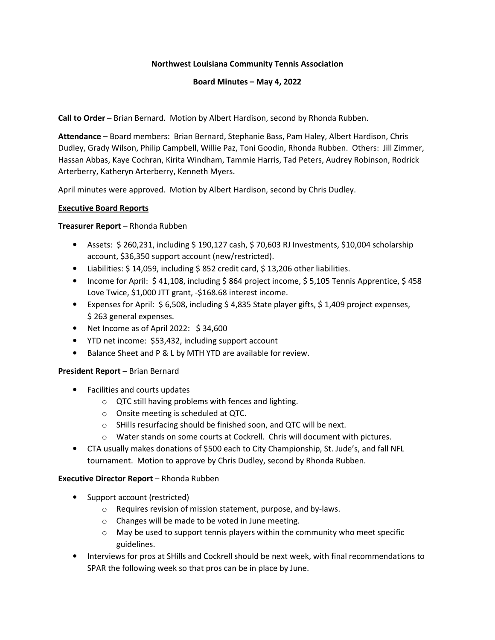#### **Northwest Louisiana Community Tennis Association**

#### **Board Minutes – May 4, 2022**

**Call to Order** – Brian Bernard. Motion by Albert Hardison, second by Rhonda Rubben.

**Attendance** – Board members: Brian Bernard, Stephanie Bass, Pam Haley, Albert Hardison, Chris Dudley, Grady Wilson, Philip Campbell, Willie Paz, Toni Goodin, Rhonda Rubben. Others: Jill Zimmer, Hassan Abbas, Kaye Cochran, Kirita Windham, Tammie Harris, Tad Peters, Audrey Robinson, Rodrick Arterberry, Katheryn Arterberry, Kenneth Myers.

April minutes were approved. Motion by Albert Hardison, second by Chris Dudley.

#### **Executive Board Reports**

#### **Treasurer Report** – Rhonda Rubben

- Assets: \$ 260,231, including \$ 190,127 cash, \$ 70,603 RJ Investments, \$10,004 scholarship account, \$36,350 support account (new/restricted).
- Liabilities: \$14,059, including \$852 credit card, \$13,206 other liabilities.
- Income for April: \$41,108, including \$864 project income, \$5,105 Tennis Apprentice, \$458 Love Twice, \$1,000 JTT grant, -\$168.68 interest income.
- Expenses for April: \$ 6,508, including \$ 4,835 State player gifts, \$ 1,409 project expenses, \$ 263 general expenses.
- Net Income as of April 2022: \$ 34,600
- YTD net income: \$53,432, including support account
- Balance Sheet and P & L by MTH YTD are available for review.

#### **President Report –** Brian Bernard

- Facilities and courts updates
	- o QTC still having problems with fences and lighting.
	- o Onsite meeting is scheduled at QTC.
	- o SHills resurfacing should be finished soon, and QTC will be next.
	- o Water stands on some courts at Cockrell. Chris will document with pictures.
- CTA usually makes donations of \$500 each to City Championship, St. Jude's, and fall NFL tournament. Motion to approve by Chris Dudley, second by Rhonda Rubben.

#### **Executive Director Report** – Rhonda Rubben

- Support account (restricted)
	- o Requires revision of mission statement, purpose, and by-laws.
	- o Changes will be made to be voted in June meeting.
	- o May be used to support tennis players within the community who meet specific guidelines.
- Interviews for pros at SHills and Cockrell should be next week, with final recommendations to SPAR the following week so that pros can be in place by June.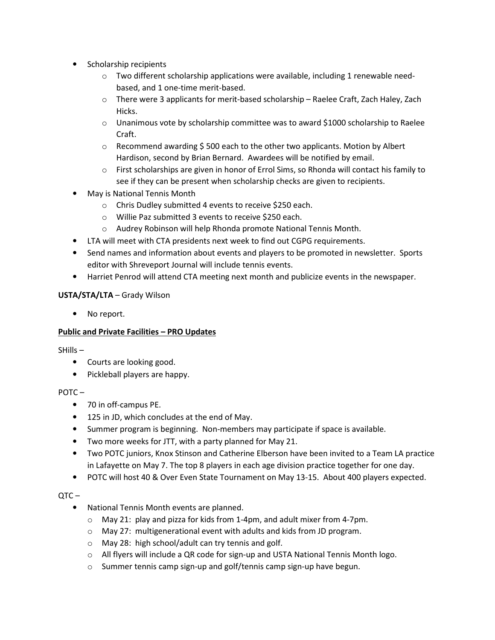- Scholarship recipients
	- $\circ$  Two different scholarship applications were available, including 1 renewable needbased, and 1 one-time merit-based.
	- $\circ$  There were 3 applicants for merit-based scholarship Raelee Craft, Zach Haley, Zach Hicks.
	- $\circ$  Unanimous vote by scholarship committee was to award \$1000 scholarship to Raelee Craft.
	- $\circ$  Recommend awarding \$500 each to the other two applicants. Motion by Albert Hardison, second by Brian Bernard. Awardees will be notified by email.
	- $\circ$  First scholarships are given in honor of Errol Sims, so Rhonda will contact his family to see if they can be present when scholarship checks are given to recipients.
- May is National Tennis Month
	- o Chris Dudley submitted 4 events to receive \$250 each.
	- o Willie Paz submitted 3 events to receive \$250 each.
	- o Audrey Robinson will help Rhonda promote National Tennis Month.
- LTA will meet with CTA presidents next week to find out CGPG requirements.
- Send names and information about events and players to be promoted in newsletter. Sports editor with Shreveport Journal will include tennis events.
- Harriet Penrod will attend CTA meeting next month and publicize events in the newspaper.

# **USTA/STA/LTA** – Grady Wilson

No report.

# **Public and Private Facilities – PRO Updates**

SHills –

- Courts are looking good.
- Pickleball players are happy.

# $POTC -$

- 70 in off-campus PE.
- 125 in JD, which concludes at the end of May.
- Summer program is beginning. Non-members may participate if space is available.
- Two more weeks for JTT, with a party planned for May 21.
- Two POTC juniors, Knox Stinson and Catherine Elberson have been invited to a Team LA practice in Lafayette on May 7. The top 8 players in each age division practice together for one day.
- POTC will host 40 & Over Even State Tournament on May 13-15. About 400 players expected.

 $\overline{C}$  –

- National Tennis Month events are planned.
	- o May 21: play and pizza for kids from 1-4pm, and adult mixer from 4-7pm.
	- o May 27: multigenerational event with adults and kids from JD program.
	- o May 28: high school/adult can try tennis and golf.
	- $\circ$  All flyers will include a QR code for sign-up and USTA National Tennis Month logo.
	- o Summer tennis camp sign-up and golf/tennis camp sign-up have begun.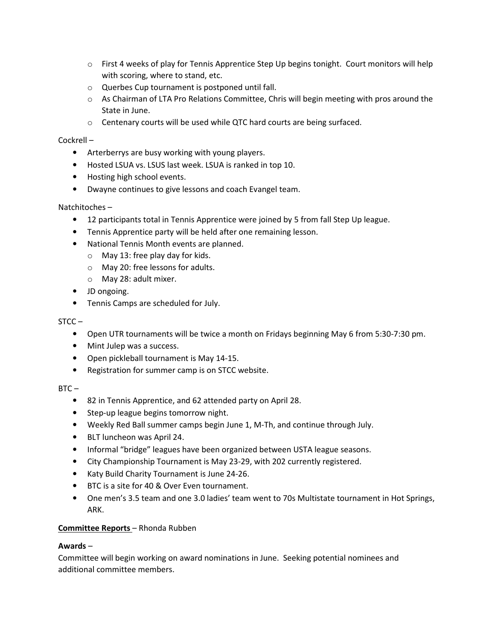- $\circ$  First 4 weeks of play for Tennis Apprentice Step Up begins tonight. Court monitors will help with scoring, where to stand, etc.
- o Querbes Cup tournament is postponed until fall.
- $\circ$  As Chairman of LTA Pro Relations Committee, Chris will begin meeting with pros around the State in June.
- o Centenary courts will be used while QTC hard courts are being surfaced.

## Cockrell –

- Arterberrys are busy working with young players.
- Hosted LSUA vs. LSUS last week. LSUA is ranked in top 10.
- Hosting high school events.
- Dwayne continues to give lessons and coach Evangel team.

# Natchitoches –

- 12 participants total in Tennis Apprentice were joined by 5 from fall Step Up league.
- Tennis Apprentice party will be held after one remaining lesson.
- National Tennis Month events are planned.
	- $\circ$  May 13: free play day for kids.
	- o May 20: free lessons for adults.
	- o May 28: adult mixer.
- JD ongoing.
- Tennis Camps are scheduled for July.

#### $STCC -$

- Open UTR tournaments will be twice a month on Fridays beginning May 6 from 5:30-7:30 pm.
- Mint Julep was a success.
- Open pickleball tournament is May 14-15.
- Registration for summer camp is on STCC website.

#### $BTC -$

- 82 in Tennis Apprentice, and 62 attended party on April 28.
- Step-up league begins tomorrow night.
- Weekly Red Ball summer camps begin June 1, M-Th, and continue through July.
- BLT luncheon was April 24.
- Informal "bridge" leagues have been organized between USTA league seasons.
- City Championship Tournament is May 23-29, with 202 currently registered.
- Katy Build Charity Tournament is June 24-26.
- BTC is a site for 40 & Over Even tournament.
- One men's 3.5 team and one 3.0 ladies' team went to 70s Multistate tournament in Hot Springs, ARK.

#### **Committee Reports** – Rhonda Rubben

#### **Awards** –

Committee will begin working on award nominations in June. Seeking potential nominees and additional committee members.